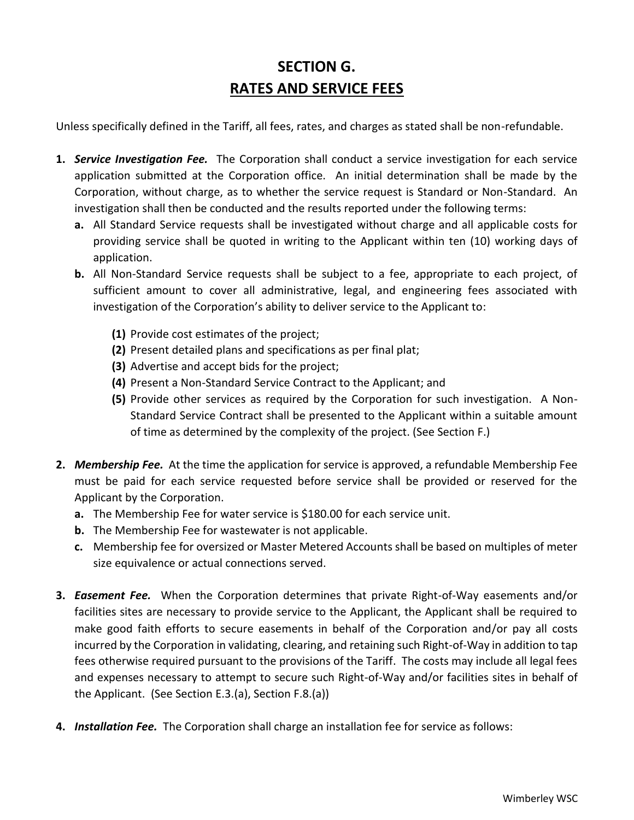# **SECTION G. RATES AND SERVICE FEES**

Unless specifically defined in the Tariff, all fees, rates, and charges as stated shall be non-refundable.

- **1.** *Service Investigation Fee.* The Corporation shall conduct a service investigation for each service application submitted at the Corporation office. An initial determination shall be made by the Corporation, without charge, as to whether the service request is Standard or Non-Standard. An investigation shall then be conducted and the results reported under the following terms:
	- **a.** All Standard Service requests shall be investigated without charge and all applicable costs for providing service shall be quoted in writing to the Applicant within ten (10) working days of application.
	- **b.** All Non-Standard Service requests shall be subject to a fee, appropriate to each project, of sufficient amount to cover all administrative, legal, and engineering fees associated with investigation of the Corporation's ability to deliver service to the Applicant to:
		- **(1)** Provide cost estimates of the project;
		- **(2)** Present detailed plans and specifications as per final plat;
		- **(3)** Advertise and accept bids for the project;
		- **(4)** Present a Non-Standard Service Contract to the Applicant; and
		- **(5)** Provide other services as required by the Corporation for such investigation. A Non-Standard Service Contract shall be presented to the Applicant within a suitable amount of time as determined by the complexity of the project. (See Section F.)
- **2.** *Membership Fee.* At the time the application for service is approved, a refundable Membership Fee must be paid for each service requested before service shall be provided or reserved for the Applicant by the Corporation.
	- **a.** The Membership Fee for water service is \$180.00 for each service unit.
	- **b.** The Membership Fee for wastewater is not applicable.
	- **c.** Membership fee for oversized or Master Metered Accounts shall be based on multiples of meter size equivalence or actual connections served.
- **3.** *Easement Fee.* When the Corporation determines that private Right-of-Way easements and/or facilities sites are necessary to provide service to the Applicant, the Applicant shall be required to make good faith efforts to secure easements in behalf of the Corporation and/or pay all costs incurred by the Corporation in validating, clearing, and retaining such Right-of-Way in addition to tap fees otherwise required pursuant to the provisions of the Tariff. The costs may include all legal fees and expenses necessary to attempt to secure such Right-of-Way and/or facilities sites in behalf of the Applicant. (See Section E.3.(a), Section F.8.(a))
- **4.** *Installation Fee.* The Corporation shall charge an installation fee for service as follows: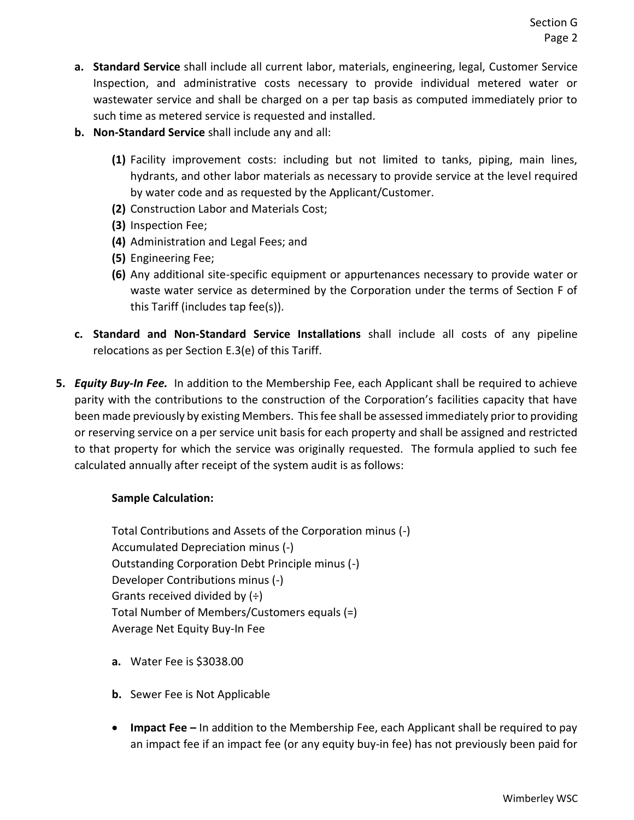- **a. Standard Service** shall include all current labor, materials, engineering, legal, Customer Service Inspection, and administrative costs necessary to provide individual metered water or wastewater service and shall be charged on a per tap basis as computed immediately prior to such time as metered service is requested and installed.
- **b. Non-Standard Service** shall include any and all:
	- **(1)** Facility improvement costs: including but not limited to tanks, piping, main lines, hydrants, and other labor materials as necessary to provide service at the level required by water code and as requested by the Applicant/Customer.
	- **(2)** Construction Labor and Materials Cost;
	- **(3)** Inspection Fee;
	- **(4)** Administration and Legal Fees; and
	- **(5)** Engineering Fee;
	- **(6)** Any additional site-specific equipment or appurtenances necessary to provide water or waste water service as determined by the Corporation under the terms of Section F of this Tariff (includes tap fee(s)).
- **c. Standard and Non-Standard Service Installations** shall include all costs of any pipeline relocations as per Section E.3(e) of this Tariff.
- **5.** *Equity Buy-In Fee.* In addition to the Membership Fee, each Applicant shall be required to achieve parity with the contributions to the construction of the Corporation's facilities capacity that have been made previously by existing Members. This fee shall be assessed immediately prior to providing or reserving service on a per service unit basis for each property and shall be assigned and restricted to that property for which the service was originally requested. The formula applied to such fee calculated annually after receipt of the system audit is as follows:

#### **Sample Calculation:**

Total Contributions and Assets of the Corporation minus (-) Accumulated Depreciation minus (-) Outstanding Corporation Debt Principle minus (-) Developer Contributions minus (-) Grants received divided by  $(\div)$ Total Number of Members/Customers equals (=) Average Net Equity Buy-In Fee

- **a.** Water Fee is \$3038.00
- **b.** Sewer Fee is Not Applicable
- **Impact Fee –** In addition to the Membership Fee, each Applicant shall be required to pay an impact fee if an impact fee (or any equity buy-in fee) has not previously been paid for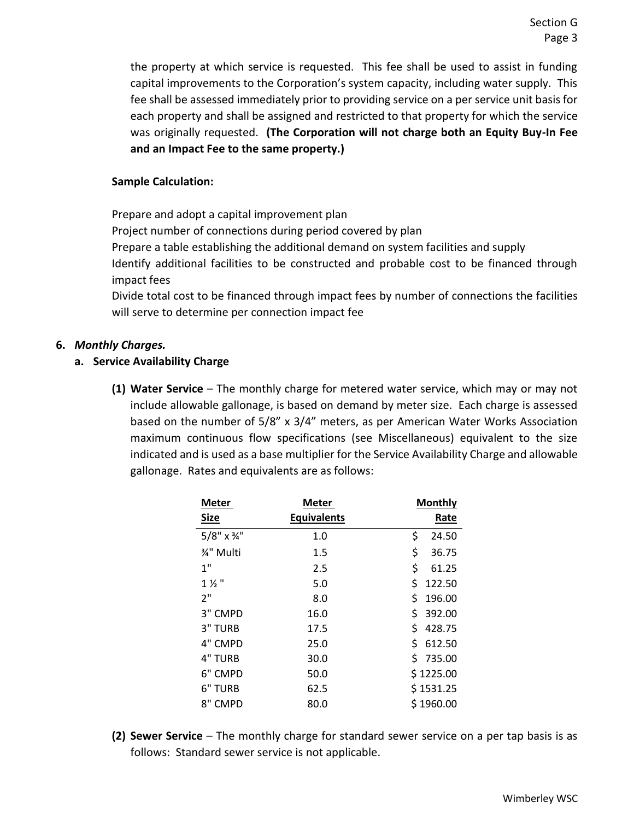the property at which service is requested. This fee shall be used to assist in funding capital improvements to the Corporation's system capacity, including water supply. This fee shall be assessed immediately prior to providing service on a per service unit basis for each property and shall be assigned and restricted to that property for which the service was originally requested. **(The Corporation will not charge both an Equity Buy-In Fee and an Impact Fee to the same property.)**

#### **Sample Calculation:**

Prepare and adopt a capital improvement plan Project number of connections during period covered by plan Prepare a table establishing the additional demand on system facilities and supply Identify additional facilities to be constructed and probable cost to be financed through impact fees

Divide total cost to be financed through impact fees by number of connections the facilities will serve to determine per connection impact fee

#### **6.** *Monthly Charges.*

#### **a. Service Availability Charge**

**(1) Water Service** – The monthly charge for metered water service, which may or may not include allowable gallonage, is based on demand by meter size. Each charge is assessed based on the number of 5/8" x 3/4" meters, as per American Water Works Association maximum continuous flow specifications (see Miscellaneous) equivalent to the size indicated and is used as a base multiplier for the Service Availability Charge and allowable gallonage. Rates and equivalents are as follows:

| <b>Meter</b>      | Meter              | <b>Monthly</b> |  |  |
|-------------------|--------------------|----------------|--|--|
| <b>Size</b>       | <b>Equivalents</b> | Rate           |  |  |
| $5/8" \times 34"$ | 1.0                | \$<br>24.50    |  |  |
| 3⁄4" Multi        | 1.5                | \$<br>36.75    |  |  |
| 1 <sup>''</sup>   | 2.5                | \$<br>61.25    |  |  |
| $1\frac{1}{2}$ "  | 5.0                | \$<br>122.50   |  |  |
| 2"                | 8.0                | \$<br>196.00   |  |  |
| 3" CMPD           | 16.0               | \$<br>392.00   |  |  |
| 3" TURB           | 17.5               | \$<br>428.75   |  |  |
| 4" CMPD           | 25.0               | \$<br>612.50   |  |  |
| 4" TURB           | 30.0               | Ś<br>735.00    |  |  |
| 6" CMPD           | 50.0               | \$1225.00      |  |  |
| 6" TURB           | 62.5               | \$1531.25      |  |  |
| 8" CMPD           | 80.0               | \$1960.00      |  |  |

**(2) Sewer Service** – The monthly charge for standard sewer service on a per tap basis is as follows: Standard sewer service is not applicable.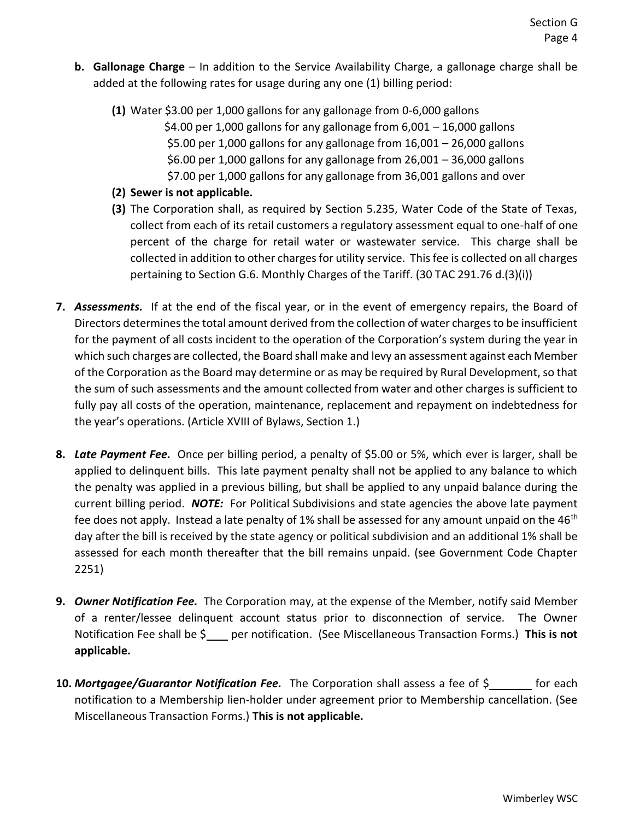- **b. Gallonage Charge** In addition to the Service Availability Charge, a gallonage charge shall be added at the following rates for usage during any one (1) billing period:
	- **(1)** Water \$3.00 per 1,000 gallons for any gallonage from 0-6,000 gallons \$4.00 per 1,000 gallons for any gallonage from  $6,001 - 16,000$  gallons \$5.00 per 1,000 gallons for any gallonage from  $16,001 - 26,000$  gallons \$6.00 per 1,000 gallons for any gallonage from  $26,001 - 36,000$  gallons \$7.00 per 1,000 gallons for any gallonage from 36,001 gallons and over
	- **(2) Sewer is not applicable.**
	- **(3)** The Corporation shall, as required by Section 5.235, Water Code of the State of Texas, collect from each of its retail customers a regulatory assessment equal to one-half of one percent of the charge for retail water or wastewater service. This charge shall be collected in addition to other charges for utility service. This fee is collected on all charges pertaining to Section G.6. Monthly Charges of the Tariff. (30 TAC 291.76 d.(3)(i))
- **7.** *Assessments.* If at the end of the fiscal year, or in the event of emergency repairs, the Board of Directors determines the total amount derived from the collection of water charges to be insufficient for the payment of all costs incident to the operation of the Corporation's system during the year in which such charges are collected, the Board shall make and levy an assessment against each Member of the Corporation as the Board may determine or as may be required by Rural Development, so that the sum of such assessments and the amount collected from water and other charges is sufficient to fully pay all costs of the operation, maintenance, replacement and repayment on indebtedness for the year's operations. (Article XVIII of Bylaws, Section 1.)
- **8.** *Late Payment Fee.* Once per billing period, a penalty of \$5.00 or 5%, which ever is larger, shall be applied to delinquent bills. This late payment penalty shall not be applied to any balance to which the penalty was applied in a previous billing, but shall be applied to any unpaid balance during the current billing period. *NOTE:* For Political Subdivisions and state agencies the above late payment fee does not apply. Instead a late penalty of 1% shall be assessed for any amount unpaid on the  $46<sup>th</sup>$ day after the bill is received by the state agency or political subdivision and an additional 1% shall be assessed for each month thereafter that the bill remains unpaid. (see Government Code Chapter 2251)
- **9.** *Owner Notification Fee.* The Corporation may, at the expense of the Member, notify said Member of a renter/lessee delinquent account status prior to disconnection of service. The Owner Notification Fee shall be \$ per notification. (See Miscellaneous Transaction Forms.) **This is not applicable.**
- **10.** *Mortgagee/Guarantor Notification Fee.* The Corporation shall assess a fee of \$ for each notification to a Membership lien-holder under agreement prior to Membership cancellation. (See Miscellaneous Transaction Forms.) **This is not applicable.**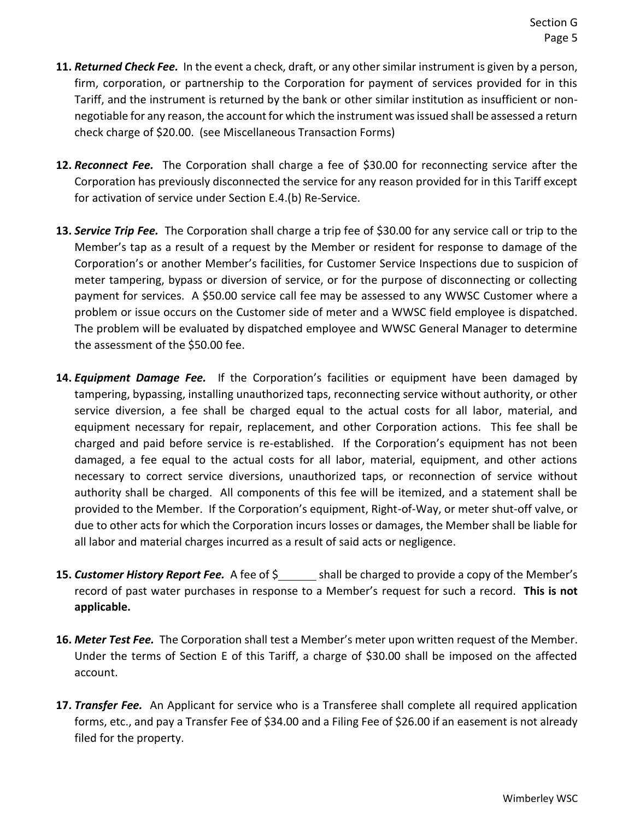- **11.** *Returned Check Fee.* In the event a check, draft, or any other similar instrument is given by a person, firm, corporation, or partnership to the Corporation for payment of services provided for in this Tariff, and the instrument is returned by the bank or other similar institution as insufficient or nonnegotiable for any reason, the account for which the instrument was issued shall be assessed a return check charge of \$20.00. (see Miscellaneous Transaction Forms)
- **12.** *Reconnect Fee.* The Corporation shall charge a fee of \$30.00 for reconnecting service after the Corporation has previously disconnected the service for any reason provided for in this Tariff except for activation of service under Section E.4.(b) Re-Service.
- **13.** *Service Trip Fee.* The Corporation shall charge a trip fee of \$30.00 for any service call or trip to the Member's tap as a result of a request by the Member or resident for response to damage of the Corporation's or another Member's facilities, for Customer Service Inspections due to suspicion of meter tampering, bypass or diversion of service, or for the purpose of disconnecting or collecting payment for services. A \$50.00 service call fee may be assessed to any WWSC Customer where a problem or issue occurs on the Customer side of meter and a WWSC field employee is dispatched. The problem will be evaluated by dispatched employee and WWSC General Manager to determine the assessment of the \$50.00 fee.
- **14.** *Equipment Damage Fee.* If the Corporation's facilities or equipment have been damaged by tampering, bypassing, installing unauthorized taps, reconnecting service without authority, or other service diversion, a fee shall be charged equal to the actual costs for all labor, material, and equipment necessary for repair, replacement, and other Corporation actions. This fee shall be charged and paid before service is re-established. If the Corporation's equipment has not been damaged, a fee equal to the actual costs for all labor, material, equipment, and other actions necessary to correct service diversions, unauthorized taps, or reconnection of service without authority shall be charged. All components of this fee will be itemized, and a statement shall be provided to the Member. If the Corporation's equipment, Right-of-Way, or meter shut-off valve, or due to other acts for which the Corporation incurs losses or damages, the Member shall be liable for all labor and material charges incurred as a result of said acts or negligence.
- **15. Customer History Report Fee.** A fee of  $\frac{5}{2}$  shall be charged to provide a copy of the Member's record of past water purchases in response to a Member's request for such a record. **This is not applicable.**
- **16.** *Meter Test Fee.* The Corporation shall test a Member's meter upon written request of the Member. Under the terms of Section E of this Tariff, a charge of \$30.00 shall be imposed on the affected account.
- **17.** *Transfer Fee.* An Applicant for service who is a Transferee shall complete all required application forms, etc., and pay a Transfer Fee of \$34.00 and a Filing Fee of \$26.00 if an easement is not already filed for the property.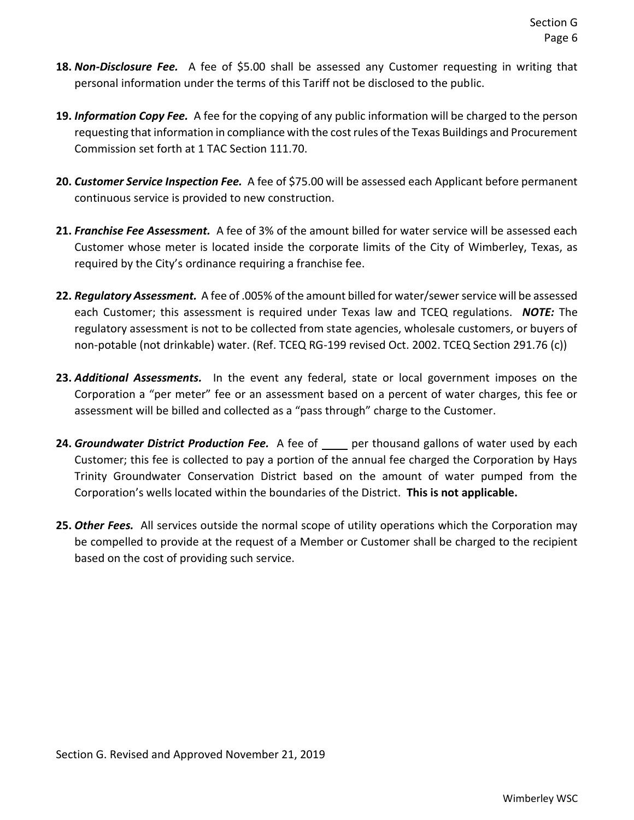- **18.** *Non-Disclosure Fee.* A fee of \$5.00 shall be assessed any Customer requesting in writing that personal information under the terms of this Tariff not be disclosed to the public.
- **19.** *Information Copy Fee.* A fee for the copying of any public information will be charged to the person requesting that information in compliance with the cost rules of the Texas Buildings and Procurement Commission set forth at 1 TAC Section 111.70.
- **20.** *Customer Service Inspection Fee.* A fee of \$75.00 will be assessed each Applicant before permanent continuous service is provided to new construction.
- **21.** *Franchise Fee Assessment.* A fee of 3% of the amount billed for water service will be assessed each Customer whose meter is located inside the corporate limits of the City of Wimberley, Texas, as required by the City's ordinance requiring a franchise fee.
- **22.** *Regulatory Assessment.* A fee of .005% of the amount billed for water/sewer service will be assessed each Customer; this assessment is required under Texas law and TCEQ regulations. *NOTE:* The regulatory assessment is not to be collected from state agencies, wholesale customers, or buyers of non-potable (not drinkable) water. (Ref. TCEQ RG-199 revised Oct. 2002. TCEQ Section 291.76 (c))
- **23.** *Additional Assessments.* In the event any federal, state or local government imposes on the Corporation a "per meter" fee or an assessment based on a percent of water charges, this fee or assessment will be billed and collected as a "pass through" charge to the Customer.
- 24. **Groundwater District Production Fee.** A fee of per thousand gallons of water used by each Customer; this fee is collected to pay a portion of the annual fee charged the Corporation by Hays Trinity Groundwater Conservation District based on the amount of water pumped from the Corporation's wells located within the boundaries of the District. **This is not applicable.**
- **25.** *Other Fees.* All services outside the normal scope of utility operations which the Corporation may be compelled to provide at the request of a Member or Customer shall be charged to the recipient based on the cost of providing such service.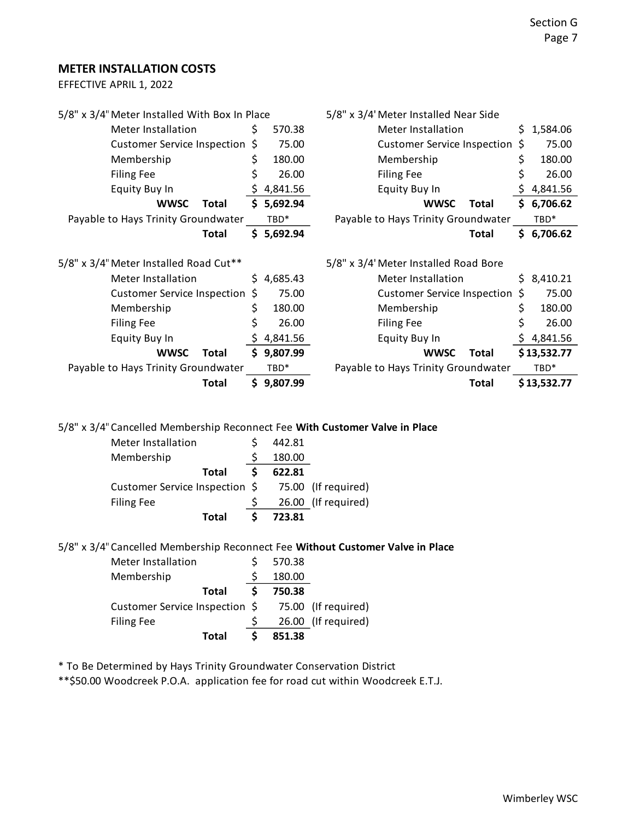#### **METER INSTALLATION COSTS**

EFFECTIVE APRIL 1, 2022

| 5/8" x 3/4" Meter Installed With Box In Place                                   |     |                  | 5/8" x 3/4' Meter Installed Near Side |     |             |
|---------------------------------------------------------------------------------|-----|------------------|---------------------------------------|-----|-------------|
| Meter Installation                                                              | \$. | 570.38           | Meter Installation                    | \$. | 1,584.06    |
| <b>Customer Service Inspection</b>                                              | S   | 75.00            | <b>Customer Service Inspection</b>    | S   | 75.00       |
| Membership                                                                      | \$  | 180.00           | Membership                            | \$  | 180.00      |
| <b>Filing Fee</b>                                                               | \$  | 26.00            | <b>Filing Fee</b>                     | \$  | 26.00       |
| <b>Equity Buy In</b>                                                            | Ş.  | 4,841.56         | Equity Buy In                         |     | 4,841.56    |
| <b>WWSC</b><br>Total                                                            |     | \$5,692.94       | <b>WWSC</b><br>Total                  |     | \$6,706.62  |
| Payable to Hays Trinity Groundwater                                             |     | TBD*             | Payable to Hays Trinity Groundwater   |     | TBD*        |
| <b>Total</b>                                                                    |     | \$5,692.94       | Total                                 |     | \$6,706.62  |
| 5/8" x 3/4" Meter Installed Road Cut**<br>5/8" x 3/4' Meter Installed Road Bore |     |                  |                                       |     |             |
| Meter Installation                                                              | S.  | 4,685.43         | Meter Installation                    | S.  | 8,410.21    |
| <b>Customer Service Inspection</b>                                              | \$  | 75.00            | <b>Customer Service Inspection</b>    | S   | 75.00       |
| Membership                                                                      | \$  | 180.00           | Membership                            | \$  | 180.00      |
| <b>Filing Fee</b>                                                               | \$  | 26.00            | <b>Filing Fee</b>                     | \$  | 26.00       |
| Equity Buy In                                                                   |     | 4,841.56         | Equity Buy In                         | \$. | 4,841.56    |
| <b>WWSC</b><br>Total                                                            | S.  | 9,807.99         | <b>WWSC</b><br>Total                  |     | \$13,532.77 |
| Payable to Hays Trinity Groundwater                                             |     | TBD <sup>*</sup> | Payable to Hays Trinity Groundwater   |     | TBD*        |
| Total                                                                           |     | \$9,807.99       | Total                                 |     | \$13,532.77 |
|                                                                                 |     |                  |                                       |     |             |

5/8" x 3/4"Cancelled Membership Reconnect Fee **With Customer Valve in Place**

| Customer Service Inspection \$ 75.00 (If required) |
|----------------------------------------------------|
| 26.00 (If required)                                |
|                                                    |
|                                                    |

5/8" x 3/4"Cancelled Membership Reconnect Fee **Without Customer Valve in Place**

| Meter Installation                                 |       | 570.38 |                     |
|----------------------------------------------------|-------|--------|---------------------|
| Membership                                         |       | 180.00 |                     |
|                                                    | Total | 750.38 |                     |
| Customer Service Inspection \$ 75.00 (If required) |       |        |                     |
| <b>Filing Fee</b>                                  |       |        | 26.00 (If required) |
|                                                    | Total | 851.38 |                     |

\* To Be Determined by Hays Trinity Groundwater Conservation District

\*\*\$50.00 Woodcreek P.O.A. application fee for road cut within Woodcreek E.T.J.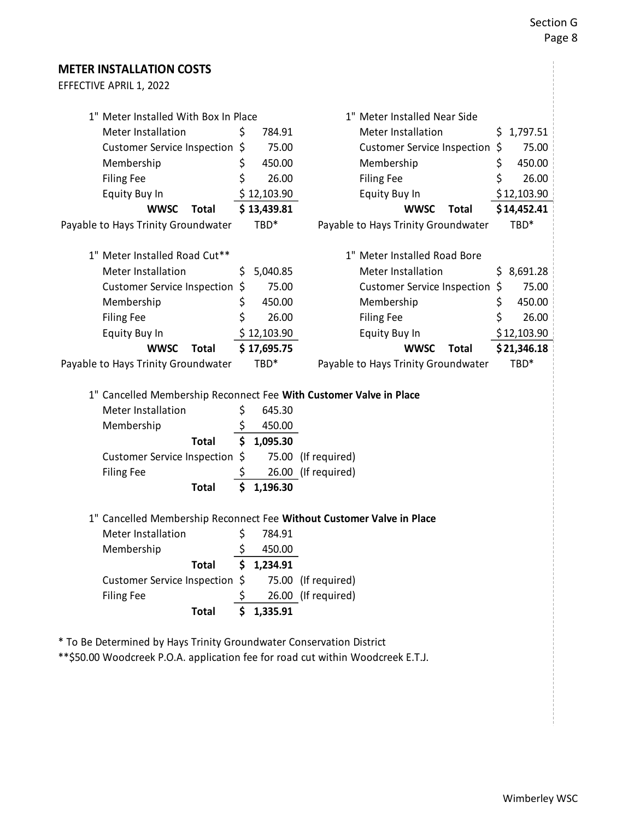## **METER INSTALLATION COSTS** EFFECTIVE APRIL 1, 2022 1" Meter Installed With Box In Place 11" Meter Installed Near Side Meter Installation  $\angle$  \$ 784.91 Meter Installation  $\angle$  \$ 1,797.51 Customer Service Inspection \$ 75.00 Customer Service Inspection \$ 75.00 Membership  $\lesssim 450.00$  Membership  $\lesssim 450.00$ Filing Fee  $\zeta$  26.00 Filing Fee  $\zeta$  26.00 Equity Buy In  $$ 12,103.90$  Equity Buy In  $$ 12,103.90$ **WWSC Total \$ 13,439.81 WWSC Total \$ 14,452.41** Payable to Hays Trinity Groundwater TBD\* Payable to Hays Trinity Groundwater TBD\* 1" Meter Installed Road Cut\*\* 1" Meter Installed Road Bore Meter Installation  $\frac{1}{5}$ , 5,040.85 Meter Installation  $\frac{1}{5}$ , 8,691.28 Customer Service Inspection \$ 75.00 Customer Service Inspection \$ 75.00 Membership  $\begin{array}{ccc} \xi & 450.00 \\ \end{array}$  Membership  $\begin{array}{ccc} \xi & 450.00 \\ \end{array}$ Filing Fee  $\angle$  \$ 26.00 Filing Fee  $\angle$  \$ 26.00 Equity Buy In  $$ 12,103.90$  Equity Buy In  $$ 12,103.90$ **WWSC Total \$ 17,695.75 WWSC Total \$ 21,346.18** Payable to Hays Trinity Groundwater TBD\* Payable to Hays Trinity Groundwater TBD\* 1" Cancelled Membership Reconnect Fee **With Customer Valve in Place** Meter Installation  $\sin \theta$  645.30 Membership  $\sim$  \$ 450.00 **Total \$ 1,095.30** Customer Service Inspection \$ 75.00 (If required) Filing Fee  $\frac{1}{5}$  26.00 (If required) **Total \$ 1,196.30** 1" Cancelled Membership Reconnect Fee **Without Customer Valve in Place** Meter Installation \$ 784.91 Membership  $\sim$  \$ 450.00 **Total \$ 1,234.91** Customer Service Inspection \$ 75.00 (If required) Filing Fee  $\frac{1}{5}$  26.00 (If required) **Total \$ 1,335.91**

\* To Be Determined by Hays Trinity Groundwater Conservation District

\*\*\$50.00 Woodcreek P.O.A. application fee for road cut within Woodcreek E.T.J.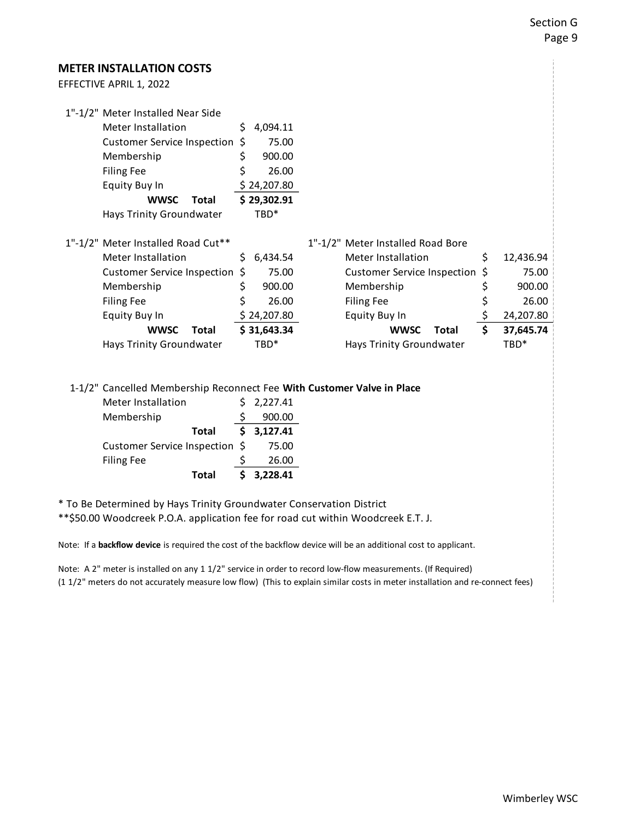### **METER INSTALLATION COSTS**

| EFFECTIVE APRIL 1, 2022 |  |  |
|-------------------------|--|--|
|                         |  |  |

| 1"-1/2" Meter Installed Near Side                                      |    |             |                                    |                 |
|------------------------------------------------------------------------|----|-------------|------------------------------------|-----------------|
| Meter Installation                                                     | Ś  | 4,094.11    |                                    |                 |
| Customer Service Inspection \$                                         |    | 75.00       |                                    |                 |
| Membership                                                             | \$ | 900.00      |                                    |                 |
| <b>Filing Fee</b>                                                      | \$ | 26.00       |                                    |                 |
| Equity Buy In                                                          |    | \$24,207.80 |                                    |                 |
| <b>WWSC</b><br>Total                                                   |    | \$29,302.91 |                                    |                 |
| Hays Trinity Groundwater                                               |    | TBD*        |                                    |                 |
|                                                                        |    |             |                                    |                 |
| 1"-1/2" Meter Installed Road Cut**                                     |    |             | 1"-1/2" Meter Installed Road Bore  |                 |
| Meter Installation                                                     | Ŝ  | 6,434.54    | Meter Installation                 | \$<br>12,436.94 |
| Customer Service Inspection \$                                         |    | 75.00       | <b>Customer Service Inspection</b> | \$<br>75.00     |
| Membership                                                             | \$ | 900.00      | Membership                         | \$<br>900.00    |
| <b>Filing Fee</b>                                                      |    | 26.00       | <b>Filing Fee</b>                  | \$<br>26.00     |
| Equity Buy In                                                          |    | \$24,207.80 | Equity Buy In                      | \$<br>24,207.80 |
| <b>WWSC</b><br>Total                                                   |    | \$31,643.34 | <b>WWSC</b><br>Total               | \$<br>37,645.74 |
| Hays Trinity Groundwater                                               |    | TBD*        | Hays Trinity Groundwater           | TBD*            |
|                                                                        |    |             |                                    |                 |
|                                                                        |    |             |                                    |                 |
| 1-1/2" Cancelled Membership Reconnect Fee With Customer Valve in Place |    |             |                                    |                 |
| Meter Installation                                                     | S  | 2,227.41    |                                    |                 |
| Membership                                                             |    | 900.00      |                                    |                 |
| <b>Total</b>                                                           | \$ | 3,127.41    |                                    |                 |

Customer Service Inspection \$ 75.00 Filing Fee  $\frac{1}{26.00}$ **Total \$ 3,228.41**

\* To Be Determined by Hays Trinity Groundwater Conservation District

\*\*\$50.00 Woodcreek P.O.A. application fee for road cut within Woodcreek E.T. J.

Note: If a **backflow device** is required the cost of the backflow device will be an additional cost to applicant.

Note: A 2" meter is installed on any 1 1/2" service in order to record low-flow measurements. (If Required) (1 1/2" meters do not accurately measure low flow) (This to explain similar costs in meter installation and re-connect fees)